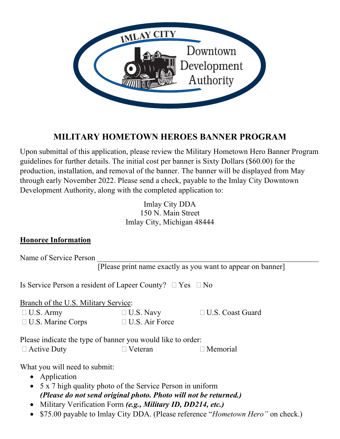

# **MILITARY HOMETOWN HEROES BANNER PROGRAM**

Upon submittal of this application, please review the Military Hometown Hero Banner Program guidelines for further details. The initial cost per banner is Sixty Dollars (\$60.00) for the production, installation, and removal of the banner. The banner will be displayed from May through early November 2022. Please send a check, payable to the Imlay City Downtown Development Authority, along with the completed application to:

> Imlay City DDA 150 N. Main Street Imlay City, Michigan 48444

### **Honoree Information**

| Name of Service Person                                              |                       |                                                             |
|---------------------------------------------------------------------|-----------------------|-------------------------------------------------------------|
|                                                                     |                       | [Please print name exactly as you want to appear on banner] |
| Is Service Person a resident of Lapeer County? $\Box$ Yes $\Box$ No |                       |                                                             |
| Branch of the U.S. Military Service:                                |                       |                                                             |
| $\Box$ U.S. Army                                                    | $\Box$ U.S. Navy      | □ U.S. Coast Guard                                          |
| $\Box$ U.S. Marine Corps                                            | $\Box$ U.S. Air Force |                                                             |
| Please indicate the type of banner you would like to order:         |                       |                                                             |
| $\Box$ Active Duty                                                  | Veteran               | $\Box$ Memorial                                             |
| What you will need to submit:                                       |                       |                                                             |
| • Application                                                       |                       |                                                             |
| • $5 \times 7$ high quality photo of the Service Person in uniform  |                       |                                                             |
| (Please do not send original photo. Photo will not be returned.)    |                       |                                                             |
| $\bullet$ Military Varification Form (e.g. Military ID DD214 atc.)  |                       |                                                             |

- Military Verification Form *(e.g., Military ID, DD214, etc.)*
- \$75.00 payable to Imlay City DDA. (Please reference "*Hometown Hero"* on check.)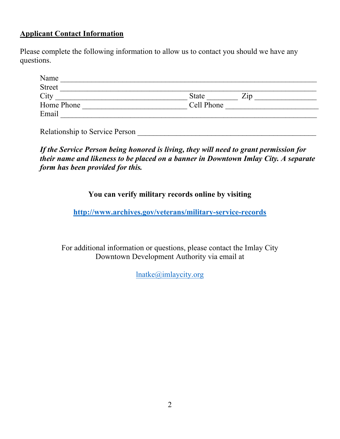#### **Applicant Contact Information**

Please complete the following information to allow us to contact you should we have any questions.

| Name          |                             |
|---------------|-----------------------------|
| <b>Street</b> |                             |
| City          | <b>State</b><br>$\angle 1D$ |
| Home Phone    | Cell Phone                  |
| Email         |                             |

Relationship to Service Person **Example 20** 

*If the Service Person being honored is living, they will need to grant permission for their name and likeness to be placed on a banner in Downtown Imlay City. A separate form has been provided for this.*

### **You can verify military records online by visiting**

**<http://www.archives.gov/veterans/military-service-records>**

For additional information or questions, please contact the Imlay City Downtown Development Authority via email at

[lnatke@imlaycity.org](mailto:lnatke@imlaycity.org)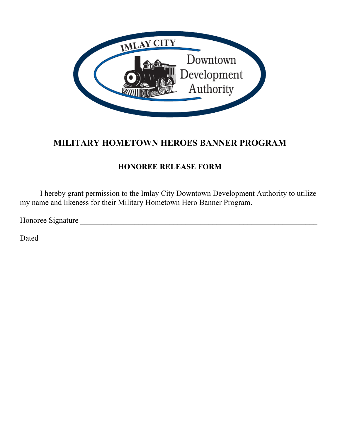

# **MILITARY HOMETOWN HEROES BANNER PROGRAM**

### **HONOREE RELEASE FORM**

I hereby grant permission to the Imlay City Downtown Development Authority to utilize my name and likeness for their Military Hometown Hero Banner Program.

Honoree Signature \_\_\_\_\_\_\_\_\_\_\_\_\_\_\_\_\_\_\_\_\_\_\_\_\_\_\_\_\_\_\_\_\_\_\_\_\_\_\_\_\_\_\_\_\_\_\_\_\_\_\_\_\_\_\_\_\_\_\_\_\_

Dated \_\_\_\_\_\_\_\_\_\_\_\_\_\_\_\_\_\_\_\_\_\_\_\_\_\_\_\_\_\_\_\_\_\_\_\_\_\_\_\_\_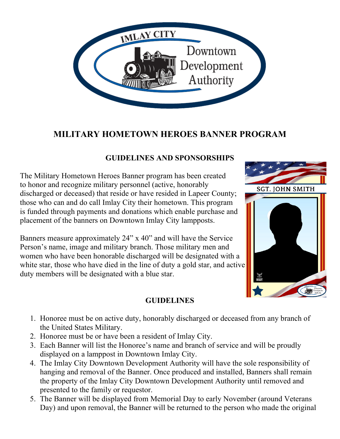

## **MILITARY HOMETOWN HEROES BANNER PROGRAM**

### **GUIDELINES AND SPONSORSHIPS**

The Military Hometown Heroes Banner program has been created to honor and recognize military personnel (active, honorably discharged or deceased) that reside or have resided in Lapeer County; those who can and do call Imlay City their hometown. This program is funded through payments and donations which enable purchase and placement of the banners on Downtown Imlay City lampposts.

Banners measure approximately 24" x 40" and will have the Service Person's name, image and military branch. Those military men and women who have been honorable discharged will be designated with a white star, those who have died in the line of duty a gold star, and active duty members will be designated with a blue star.



- 1. Honoree must be on active duty, honorably discharged or deceased from any branch of the United States Military.
- 2. Honoree must be or have been a resident of Imlay City.
- 3. Each Banner will list the Honoree's name and branch of service and will be proudly displayed on a lamppost in Downtown Imlay City.
- 4. The Imlay City Downtown Development Authority will have the sole responsibility of hanging and removal of the Banner. Once produced and installed, Banners shall remain the property of the Imlay City Downtown Development Authority until removed and presented to the family or requestor.
- 5. The Banner will be displayed from Memorial Day to early November (around Veterans Day) and upon removal, the Banner will be returned to the person who made the original